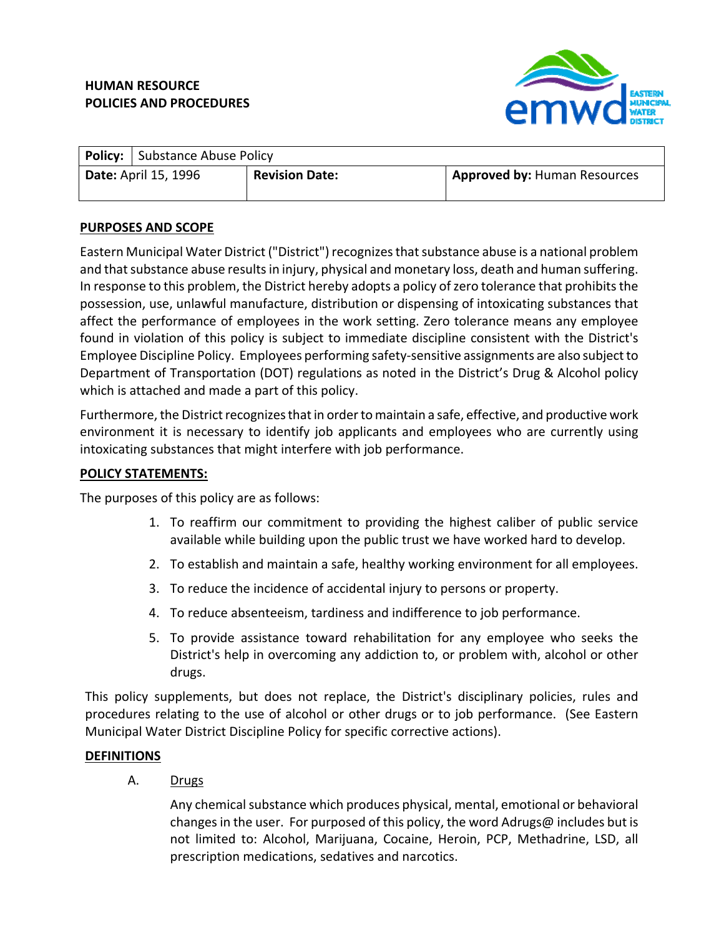### **HUMAN RESOURCE POLICIES AND PROCEDURES**



|                             | <b>Policy:</b> Substance Abuse Policy |                       |                                     |
|-----------------------------|---------------------------------------|-----------------------|-------------------------------------|
| <b>Date: April 15, 1996</b> |                                       | <b>Revision Date:</b> | <b>Approved by: Human Resources</b> |

## **PURPOSES AND SCOPE**

Eastern Municipal Water District ("District") recognizes that substance abuse is a national problem and that substance abuse results in injury, physical and monetary loss, death and human suffering. In response to this problem, the District hereby adopts a policy of zero tolerance that prohibits the possession, use, unlawful manufacture, distribution or dispensing of intoxicating substances that affect the performance of employees in the work setting. Zero tolerance means any employee found in violation of this policy is subject to immediate discipline consistent with the District's Employee Discipline Policy. Employees performing safety‐sensitive assignments are also subjectto Department of Transportation (DOT) regulations as noted in the District's Drug & Alcohol policy which is attached and made a part of this policy.

Furthermore, the District recognizes that in order to maintain a safe, effective, and productive work environment it is necessary to identify job applicants and employees who are currently using intoxicating substances that might interfere with job performance.

### **POLICY STATEMENTS:**

The purposes of this policy are as follows:

- 1. To reaffirm our commitment to providing the highest caliber of public service available while building upon the public trust we have worked hard to develop.
- 2. To establish and maintain a safe, healthy working environment for all employees.
- 3. To reduce the incidence of accidental injury to persons or property.
- 4. To reduce absenteeism, tardiness and indifference to job performance.
- 5. To provide assistance toward rehabilitation for any employee who seeks the District's help in overcoming any addiction to, or problem with, alcohol or other drugs.

This policy supplements, but does not replace, the District's disciplinary policies, rules and procedures relating to the use of alcohol or other drugs or to job performance. (See Eastern Municipal Water District Discipline Policy for specific corrective actions).

### **DEFINITIONS**

A. Drugs

Any chemical substance which produces physical, mental, emotional or behavioral changes in the user. For purposed of this policy, the word Adrugs@ includes but is not limited to: Alcohol, Marijuana, Cocaine, Heroin, PCP, Methadrine, LSD, all prescription medications, sedatives and narcotics.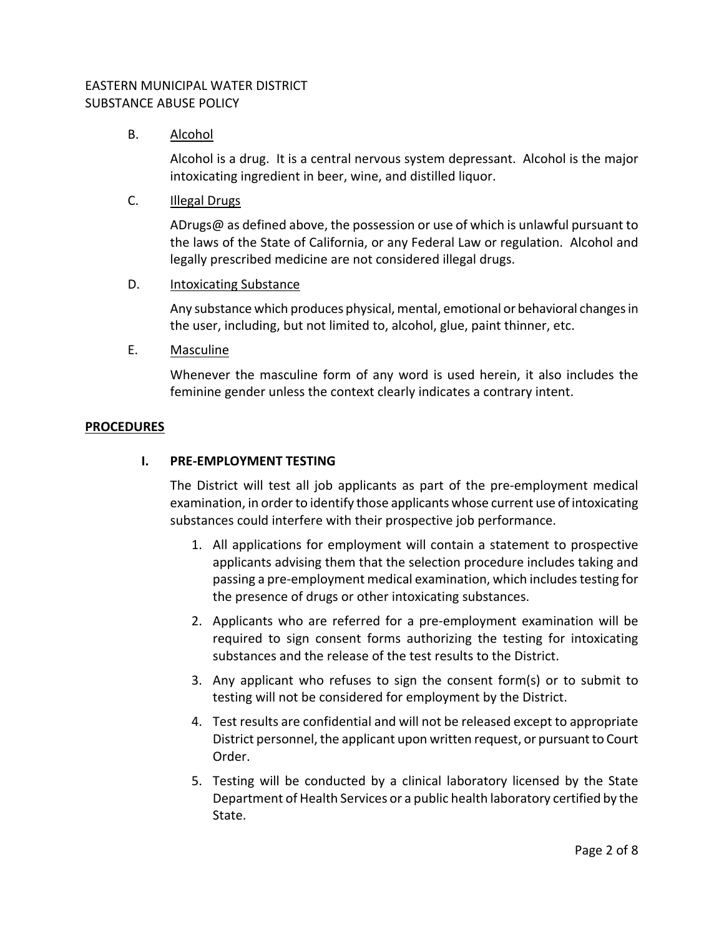### B. Alcohol

Alcohol is a drug. It is a central nervous system depressant. Alcohol is the major intoxicating ingredient in beer, wine, and distilled liquor.

C. Illegal Drugs

ADrugs@ as defined above, the possession or use of which is unlawful pursuant to the laws of the State of California, or any Federal Law or regulation. Alcohol and legally prescribed medicine are not considered illegal drugs.

### D. Intoxicating Substance

Any substance which produces physical, mental, emotional or behavioral changesin the user, including, but not limited to, alcohol, glue, paint thinner, etc.

E. Masculine

Whenever the masculine form of any word is used herein, it also includes the feminine gender unless the context clearly indicates a contrary intent.

### **PROCEDURES**

## **I. PRE‐EMPLOYMENT TESTING**

The District will test all job applicants as part of the pre-employment medical examination, in order to identify those applicants whose current use of intoxicating substances could interfere with their prospective job performance.

- 1. All applications for employment will contain a statement to prospective applicants advising them that the selection procedure includes taking and passing a pre-employment medical examination, which includes testing for the presence of drugs or other intoxicating substances.
- 2. Applicants who are referred for a pre‐employment examination will be required to sign consent forms authorizing the testing for intoxicating substances and the release of the test results to the District.
- 3. Any applicant who refuses to sign the consent form(s) or to submit to testing will not be considered for employment by the District.
- 4. Test results are confidential and will not be released except to appropriate District personnel, the applicant upon written request, or pursuant to Court Order.
- 5. Testing will be conducted by a clinical laboratory licensed by the State Department of Health Services or a public health laboratory certified by the State.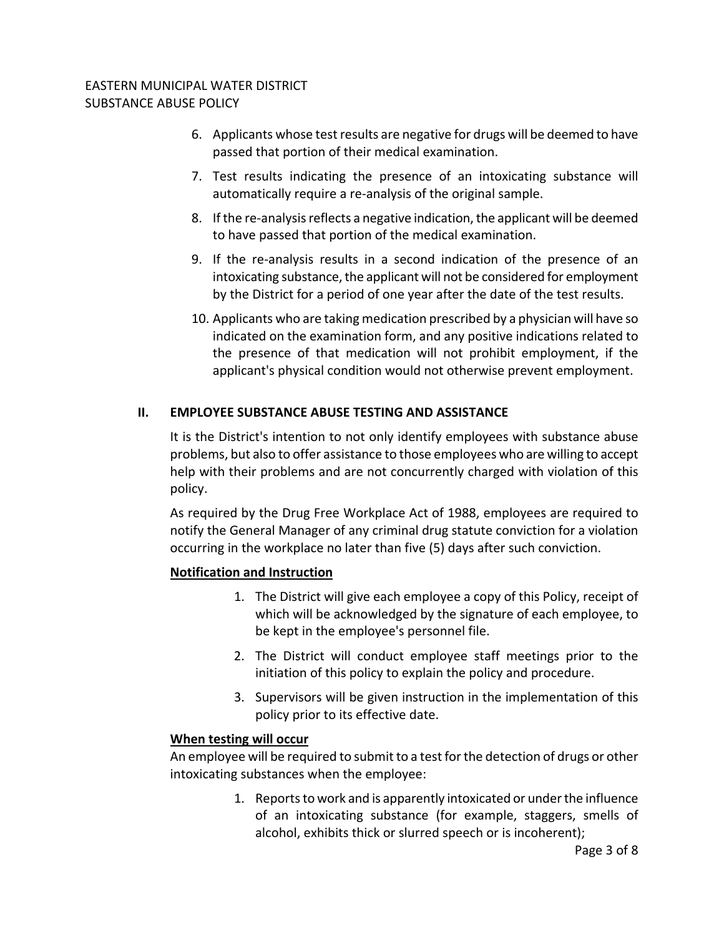- 6. Applicants whose testresults are negative for drugs will be deemed to have passed that portion of their medical examination.
- 7. Test results indicating the presence of an intoxicating substance will automatically require a re‐analysis of the original sample.
- 8. If the re-analysis reflects a negative indication, the applicant will be deemed to have passed that portion of the medical examination.
- 9. If the re-analysis results in a second indication of the presence of an intoxicating substance, the applicant will not be considered for employment by the District for a period of one year after the date of the test results.
- 10. Applicants who are taking medication prescribed by a physician will have so indicated on the examination form, and any positive indications related to the presence of that medication will not prohibit employment, if the applicant's physical condition would not otherwise prevent employment.

# **II. EMPLOYEE SUBSTANCE ABUSE TESTING AND ASSISTANCE**

It is the District's intention to not only identify employees with substance abuse problems, but also to offer assistance to those employees who are willing to accept help with their problems and are not concurrently charged with violation of this policy.

As required by the Drug Free Workplace Act of 1988, employees are required to notify the General Manager of any criminal drug statute conviction for a violation occurring in the workplace no later than five (5) days after such conviction.

# **Notification and Instruction**

- 1. The District will give each employee a copy of this Policy, receipt of which will be acknowledged by the signature of each employee, to be kept in the employee's personnel file.
- 2. The District will conduct employee staff meetings prior to the initiation of this policy to explain the policy and procedure.
- 3. Supervisors will be given instruction in the implementation of this policy prior to its effective date.

# **When testing will occur**

An employee will be required to submit to a test forthe detection of drugs or other intoxicating substances when the employee:

> 1. Reports to work and is apparently intoxicated or under the influence of an intoxicating substance (for example, staggers, smells of alcohol, exhibits thick or slurred speech or is incoherent);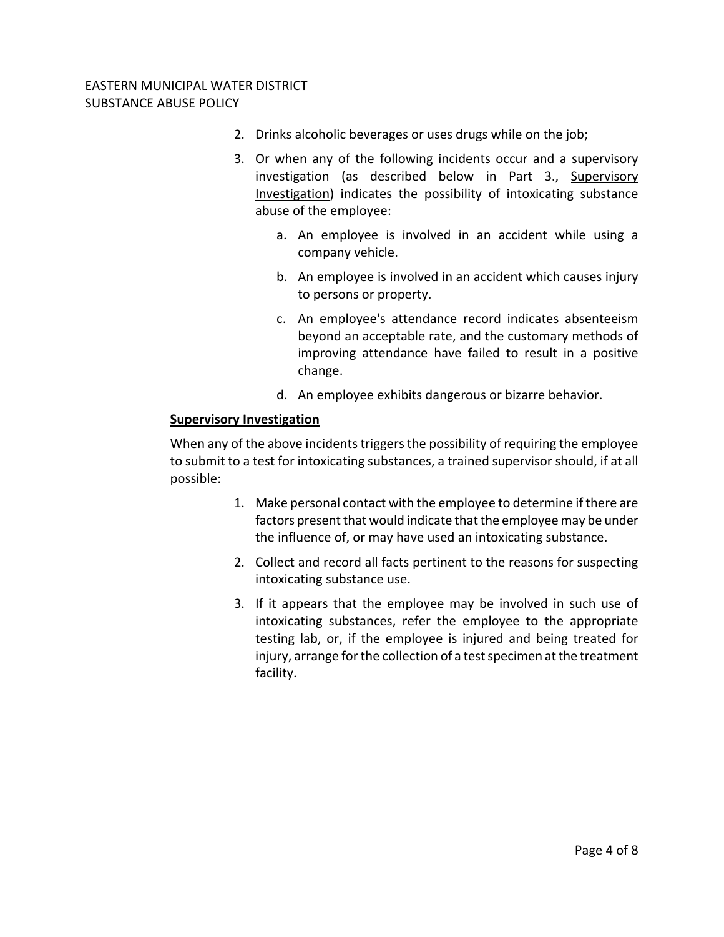- 2. Drinks alcoholic beverages or uses drugs while on the job;
- 3. Or when any of the following incidents occur and a supervisory investigation (as described below in Part 3., Supervisory Investigation) indicates the possibility of intoxicating substance abuse of the employee:
	- a. An employee is involved in an accident while using a company vehicle.
	- b. An employee is involved in an accident which causes injury to persons or property.
	- c. An employee's attendance record indicates absenteeism beyond an acceptable rate, and the customary methods of improving attendance have failed to result in a positive change.
	- d. An employee exhibits dangerous or bizarre behavior.

### **Supervisory Investigation**

When any of the above incidents triggers the possibility of requiring the employee to submit to a test for intoxicating substances, a trained supervisor should, if at all possible:

- 1. Make personal contact with the employee to determine if there are factors present that would indicate that the employee may be under the influence of, or may have used an intoxicating substance.
- 2. Collect and record all facts pertinent to the reasons for suspecting intoxicating substance use.
- 3. If it appears that the employee may be involved in such use of intoxicating substances, refer the employee to the appropriate testing lab, or, if the employee is injured and being treated for injury, arrange for the collection of a test specimen at the treatment facility.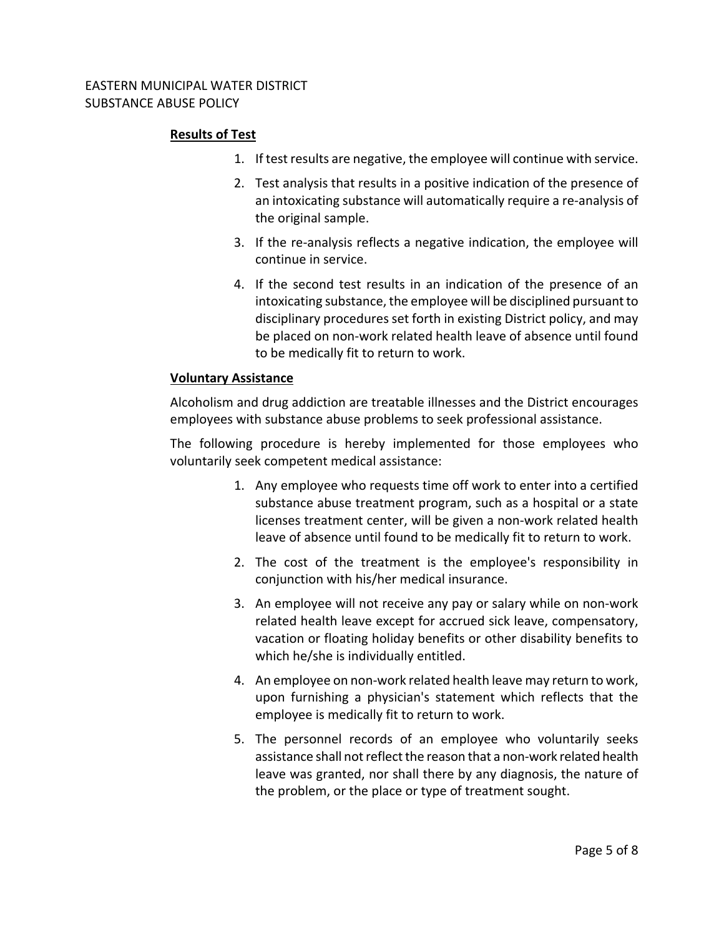### **Results of Test**

- 1. If test results are negative, the employee will continue with service.
- 2. Test analysis that results in a positive indication of the presence of an intoxicating substance will automatically require a re‐analysis of the original sample.
- 3. If the re‐analysis reflects a negative indication, the employee will continue in service.
- 4. If the second test results in an indication of the presence of an intoxicating substance, the employee will be disciplined pursuant to disciplinary procedures set forth in existing District policy, and may be placed on non‐work related health leave of absence until found to be medically fit to return to work.

### **Voluntary Assistance**

Alcoholism and drug addiction are treatable illnesses and the District encourages employees with substance abuse problems to seek professional assistance.

The following procedure is hereby implemented for those employees who voluntarily seek competent medical assistance:

- 1. Any employee who requests time off work to enter into a certified substance abuse treatment program, such as a hospital or a state licenses treatment center, will be given a non‐work related health leave of absence until found to be medically fit to return to work.
- 2. The cost of the treatment is the employee's responsibility in conjunction with his/her medical insurance.
- 3. An employee will not receive any pay or salary while on non‐work related health leave except for accrued sick leave, compensatory, vacation or floating holiday benefits or other disability benefits to which he/she is individually entitled.
- 4. An employee on non‐work related health leave may return to work, upon furnishing a physician's statement which reflects that the employee is medically fit to return to work.
- 5. The personnel records of an employee who voluntarily seeks assistance shall not reflect the reason that a non-work related health leave was granted, nor shall there by any diagnosis, the nature of the problem, or the place or type of treatment sought.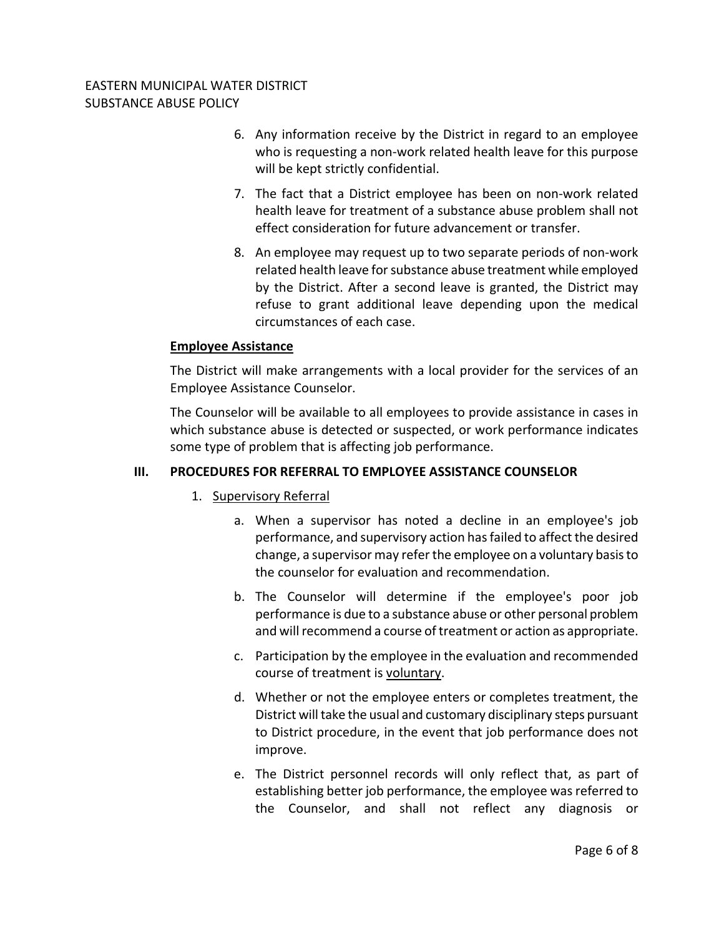- 6. Any information receive by the District in regard to an employee who is requesting a non-work related health leave for this purpose will be kept strictly confidential.
- 7. The fact that a District employee has been on non‐work related health leave for treatment of a substance abuse problem shall not effect consideration for future advancement or transfer.
- 8. An employee may request up to two separate periods of non‐work related health leave for substance abuse treatment while employed by the District. After a second leave is granted, the District may refuse to grant additional leave depending upon the medical circumstances of each case.

### **Employee Assistance**

The District will make arrangements with a local provider for the services of an Employee Assistance Counselor.

The Counselor will be available to all employees to provide assistance in cases in which substance abuse is detected or suspected, or work performance indicates some type of problem that is affecting job performance.

## **III. PROCEDURES FOR REFERRAL TO EMPLOYEE ASSISTANCE COUNSELOR**

- 1. Supervisory Referral
	- a. When a supervisor has noted a decline in an employee's job performance, and supervisory action has failed to affect the desired change, a supervisor may referthe employee on a voluntary basisto the counselor for evaluation and recommendation.
	- b. The Counselor will determine if the employee's poor job performance is due to a substance abuse or other personal problem and will recommend a course of treatment or action as appropriate.
	- c. Participation by the employee in the evaluation and recommended course of treatment is voluntary.
	- d. Whether or not the employee enters or completes treatment, the District will take the usual and customary disciplinary steps pursuant to District procedure, in the event that job performance does not improve.
	- e. The District personnel records will only reflect that, as part of establishing better job performance, the employee was referred to the Counselor, and shall not reflect any diagnosis or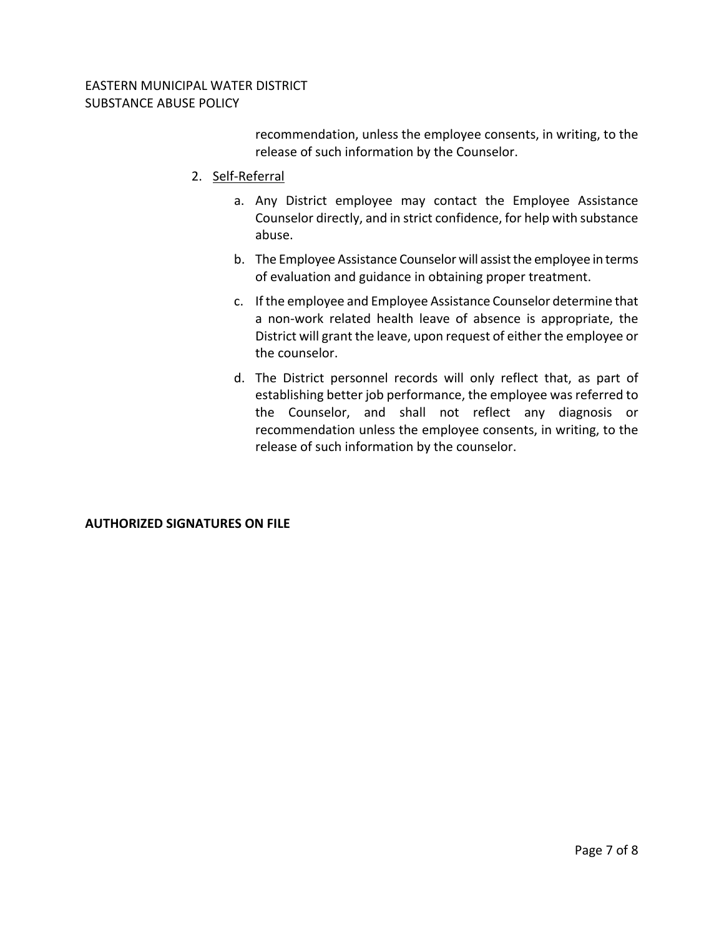recommendation, unless the employee consents, in writing, to the release of such information by the Counselor.

- 2. Self‐Referral
	- a. Any District employee may contact the Employee Assistance Counselor directly, and in strict confidence, for help with substance abuse.
	- b. The Employee Assistance Counselor will assist the employee in terms of evaluation and guidance in obtaining proper treatment.
	- c. If the employee and Employee Assistance Counselor determine that a non‐work related health leave of absence is appropriate, the District will grant the leave, upon request of either the employee or the counselor.
	- d. The District personnel records will only reflect that, as part of establishing better job performance, the employee was referred to the Counselor, and shall not reflect any diagnosis or recommendation unless the employee consents, in writing, to the release of such information by the counselor.

# **AUTHORIZED SIGNATURES ON FILE**